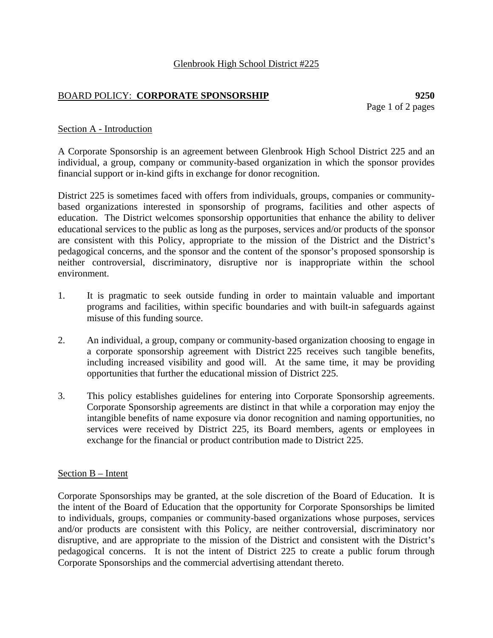# BOARD POLICY: **CORPORATE SPONSORSHIP 9250**

Page 1 of 2 pages

### Section A - Introduction

A Corporate Sponsorship is an agreement between Glenbrook High School District 225 and an individual, a group, company or community-based organization in which the sponsor provides financial support or in-kind gifts in exchange for donor recognition.

District 225 is sometimes faced with offers from individuals, groups, companies or communitybased organizations interested in sponsorship of programs, facilities and other aspects of education. The District welcomes sponsorship opportunities that enhance the ability to deliver educational services to the public as long as the purposes, services and/or products of the sponsor are consistent with this Policy, appropriate to the mission of the District and the District's pedagogical concerns, and the sponsor and the content of the sponsor's proposed sponsorship is neither controversial, discriminatory, disruptive nor is inappropriate within the school environment.

- 1. It is pragmatic to seek outside funding in order to maintain valuable and important programs and facilities, within specific boundaries and with built-in safeguards against misuse of this funding source.
- 2. An individual, a group, company or community-based organization choosing to engage in a corporate sponsorship agreement with District 225 receives such tangible benefits, including increased visibility and good will. At the same time, it may be providing opportunities that further the educational mission of District 225.
- 3. This policy establishes guidelines for entering into Corporate Sponsorship agreements. Corporate Sponsorship agreements are distinct in that while a corporation may enjoy the intangible benefits of name exposure via donor recognition and naming opportunities, no services were received by District 225, its Board members, agents or employees in exchange for the financial or product contribution made to District 225.

#### Section B – Intent

Corporate Sponsorships may be granted, at the sole discretion of the Board of Education. It is the intent of the Board of Education that the opportunity for Corporate Sponsorships be limited to individuals, groups, companies or community-based organizations whose purposes, services and/or products are consistent with this Policy, are neither controversial, discriminatory nor disruptive, and are appropriate to the mission of the District and consistent with the District's pedagogical concerns. It is not the intent of District 225 to create a public forum through Corporate Sponsorships and the commercial advertising attendant thereto.